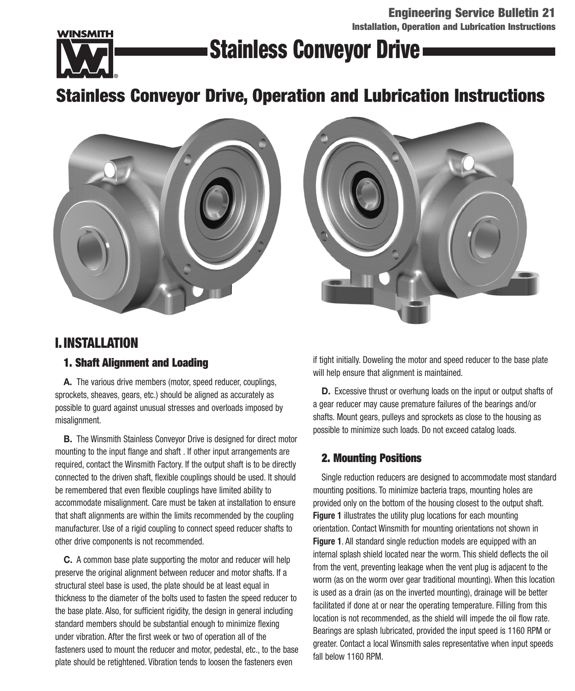**Engineering Service Bulletin 21 Installation, Operation and Lubrication Instructions**



## **Stainless Conveyor Drive**

## **Stainless Conveyor Drive, Operation and Lubrication Instructions**





## **I.INSTALLATION**

## **1. Shaft Alignment and Loading**

**A.** The various drive members (motor, speed reducer, couplings, sprockets, sheaves, gears, etc.) should be aligned as accurately as possible to guard against unusual stresses and overloads imposed by misalignment.

**B.** The Winsmith Stainless Conveyor Drive is designed for direct motor mounting to the input flange and shaft . If other input arrangements are required, contact the Winsmith Factory. If the output shaft is to be directly connected to the driven shaft, flexible couplings should be used. It should be remembered that even flexible couplings have limited ability to accommodate misalignment. Care must be taken at installation to ensure that shaft alignments are within the limits recommended by the coupling manufacturer. Use of a rigid coupling to connect speed reducer shafts to other drive components is not recommended.

**C.** A common base plate supporting the motor and reducer will help preserve the original alignment between reducer and motor shafts. If a structural steel base is used, the plate should be at least equal in thickness to the diameter of the bolts used to fasten the speed reducer to the base plate. Also, for sufficient rigidity, the design in general including standard members should be substantial enough to minimize flexing under vibration. After the first week or two of operation all of the fasteners used to mount the reducer and motor, pedestal, etc., to the base plate should be retightened. Vibration tends to loosen the fasteners even

if tight initially. Doweling the motor and speed reducer to the base plate will help ensure that alignment is maintained.

**D.** Excessive thrust or overhung loads on the input or output shafts of a gear reducer may cause premature failures of the bearings and/or shafts. Mount gears, pulleys and sprockets as close to the housing as possible to minimize such loads. Do not exceed catalog loads.

## **2. Mounting Positions**

Single reduction reducers are designed to accommodate most standard mounting positions. To minimize bacteria traps, mounting holes are provided only on the bottom of the housing closest to the output shaft. **Figure 1** illustrates the utility plug locations for each mounting orientation. Contact Winsmith for mounting orientations not shown in **Figure 1**. All standard single reduction models are equipped with an internal splash shield located near the worm. This shield deflects the oil from the vent, preventing leakage when the vent plug is adjacent to the worm (as on the worm over gear traditional mounting). When this location is used as a drain (as on the inverted mounting), drainage will be better facilitated if done at or near the operating temperature. Filling from this location is not recommended, as the shield will impede the oil flow rate. Bearings are splash lubricated, provided the input speed is 1160 RPM or greater. Contact a local Winsmith sales representative when input speeds fall below 1160 RPM.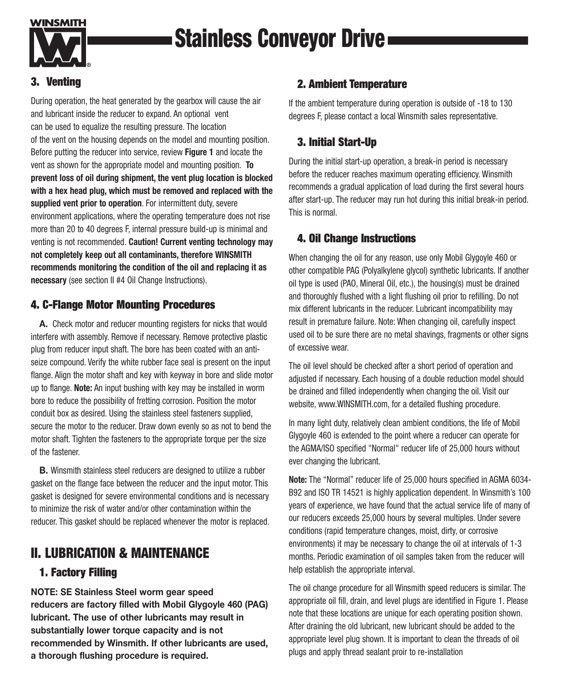

# **Stainless Conveyor Drive**

## **3. Venting**

During operation, the heat generated by the gearbox will cause the air and lubricant inside the reducer to expand. An optional vent can be used to equalize the resulting pressure. The location of the vent on the housing depends on the model and mounting position. Before putting the reducer into service, review **Figure 1** and locate the vent as shown for the appropriate model and mounting position. **To prevent loss of oil during shipment, the vent plug location is blocked with a hex head plug, which must be removed and replaced with the supplied vent prior to operation**. For intermittent duty, severe environment applications, where the operating temperature does not rise more than 20 to 40 degrees F, internal pressure build-up is minimal and venting is not recommended. **Caution! Current venting technology may not completely keep out all contaminants, therefore WINSMITH recommends monitoring the condition of the oil and replacing it as necessary** (see section II #4 Oil Change Instructions).

## **4. C-Flange Motor Mounting Procedures**

**A.** Check motor and reducer mounting registers for nicks that would interfere with assembly. Remove if necessary. Remove protective plastic plug from reducer input shaft. The bore has been coated with an antiseize compound. Verify the white rubber face seal is present on the input flange. Align the motor shaft and key with keyway in bore and slide motor up to flange. **Note:** An input bushing with key may be installed in worm bore to reduce the possibility of fretting corrosion. Position the motor conduit box as desired. Using the stainless steel fasteners supplied, secure the motor to the reducer. Draw down evenly so as not to bend the motor shaft. Tighten the fasteners to the appropriate torque per the size of the fastener.

**B.** Winsmith stainless steel reducers are designed to utilize a rubber gasket on the flange face between the reducer and the input motor. This gasket is designed for severe environmental conditions and is necessary to minimize the risk of water and/or other contamination within the reducer. This gasket should be replaced whenever the motor is replaced.

## **II. LUBRICATION & MAINTENANCE**

## **1. Factory Filling**

**NOTE: SE Stainless Steel worm gear speed reducers are factory filled with Mobil Glygoyle 460 (PAG) lubricant. The use of other lubricants may result in substantially lower torque capacity and is not recommended by Winsmith. If other lubricants are used, a thorough flushing procedure is required.**

## **2. Ambient Temperature**

If the ambient temperature during operation is outside of -18 to 130 degrees F, please contact a local Winsmith sales representative.

## **3. Initial Start-Up**

During the initial start-up operation, a break-in period is necessary before the reducer reaches maximum operating efficiency. Winsmith recommends a gradual application of load during the first several hours after start-up. The reducer may run hot during this initial break-in period. This is normal.

## **4. Oil Change Instructions**

When changing the oil for any reason, use only Mobil Glygoyle 460 or other compatible PAG (Polyalkylene glycol) synthetic lubricants. If another oil type is used (PAO, Mineral Oil, etc.), the housing(s) must be drained and thoroughly flushed with a light flushing oil prior to refilling. Do not mix different lubricants in the reducer. Lubricant incompatibility may result in premature failure. Note: When changing oil, carefully inspect used oil to be sure there are no metal shavings, fragments or other signs of excessive wear.

The oil level should be checked after a short period of operation and adjusted if necessary. Each housing of a double reduction model should be drained and filled independently when changing the oil. Visit our website, www.WINSMITH.com, for a detailed flushing procedure.

In many light duty, relatively clean ambient conditions, the life of Mobil Glygoyle 460 is extended to the point where a reducer can operate for the AGMA/ISO specified "Normal" reducer life of 25,000 hours without ever changing the lubricant.

**Note:** The "Normal" reducer life of 25,000 hours specified in AGMA 6034- B92 and ISO TR 14521 is highly application dependent. In Winsmith's 100 years of experience, we have found that the actual service life of many of our reducers exceeds 25,000 hours by several multiples. Under severe conditions (rapid temperature changes, moist, dirty, or corrosive environments) it may be necessary to change the oil at intervals of 1-3 months. Periodic examination of oil samples taken from the reducer will help establish the appropriate interval.

The oil change procedure for all Winsmith speed reducers is similar. The appropriate oil fill, drain, and level plugs are identified in Figure 1. Please note that these locations are unique for each operating position shown. After draining the old lubricant, new lubricant should be added to the appropriate level plug shown. It is important to clean the threads of oil plugs and apply thread sealant proir to re-installation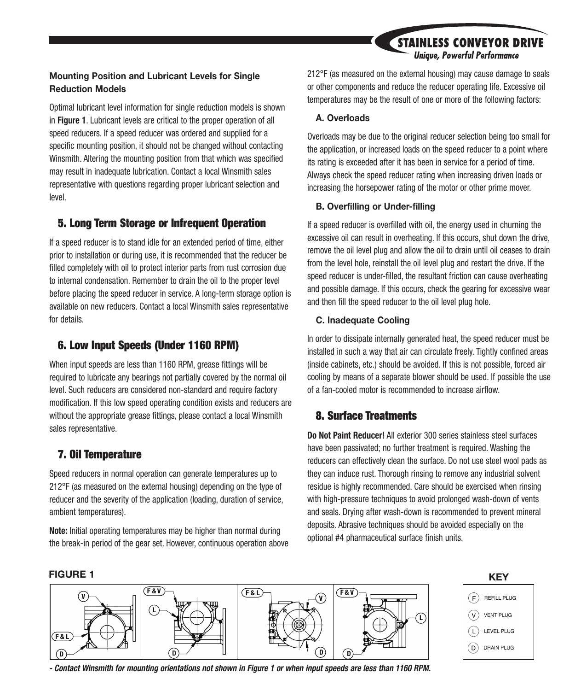## **STAINLESS CONVEYOR DRIVE Unique, Powerful Performance**

## **Mounting Position and Lubricant Levels for Single Reduction Models**

Optimal lubricant level information for single reduction models is shown in **Figure 1**. Lubricant levels are critical to the proper operation of all speed reducers. If a speed reducer was ordered and supplied for a specific mounting position, it should not be changed without contacting Winsmith. Altering the mounting position from that which was specified may result in inadequate lubrication. Contact a local Winsmith sales representative with questions regarding proper lubricant selection and level.

## **5. Long Term Storage or Infrequent Operation**

If a speed reducer is to stand idle for an extended period of time, either prior to installation or during use, it is recommended that the reducer be filled completely with oil to protect interior parts from rust corrosion due to internal condensation. Remember to drain the oil to the proper level before placing the speed reducer in service. A long-term storage option is available on new reducers. Contact a local Winsmith sales representative for details. **F&V F&L F &**

## **6. Low Input Speeds (Under 1160 RPM)**

When input speeds are less than 1160 RPM, grease fittings will be required to lubricate any bearings not partially covered by the normal oil level. Such reducers are considered non-standard and require factory modification. If this low speed operating condition exists and reducers are without the appropriate grease fittings, please contact a local Winsmith sales representative.

## **7. Oil Temperature**

Speed reducers in normal operation can generate temperatures up to 212°F (as measured on the external housing) depending on the type of reducer and the severity of the application (loading, duration of service, ambient temperatures).

**Note:** Initial operating temperatures may be higher than normal during the break-in period of the gear set. However, continuous operation above 212°F (as measured on the external housing) may cause damage to seals or other components and reduce the reducer operating life. Excessive oil temperatures may be the result of one or more of the following factors:

## **A. Overloads**

Overloads may be due to the original reducer selection being too small for the application, or increased loads on the speed reducer to a point where its rating is exceeded after it has been in service for a period of time. Always check the speed reducer rating when increasing driven loads or increasing the horsepower rating of the motor or other prime mover.

### **B. Overfilling or Under-filling**

If a speed reducer is overfilled with oil, the energy used in churning the excessive oil can result in overheating. If this occurs, shut down the drive, remove the oil level plug and allow the oil to drain until oil ceases to drain from the level hole, reinstall the oil level plug and restart the drive. If the speed reducer is under-filled, the resultant friction can cause overheating and possible damage. If this occurs, check the gearing for excessive wear and then fill the speed reducer to the oil level plug hole.

## **C. Inadequate Cooling**

In order to dissipate internally generated heat, the speed reducer must be installed in such a way that air can circulate freely. Tightly confined areas (inside cabinets, etc.) should be avoided. If this is not possible, forced air cooling by means of a separate blower should be used. If possible the use of a fan-cooled motor is recommended to increase airflow.

## **8. Surface Treatments**

**Do Not Paint Reducer!** All exterior 300 series stainless steel surfaces have been passivated; no further treatment is required. Washing the reducers can effectively clean the surface. Do not use steel wool pads as they can induce rust. Thorough rinsing to remove any industrial solvent residue is highly recommended. Care should be exercised when rinsing with high-pressure techniques to avoid prolonged wash-down of vents and seals. Drying after wash-down is recommended to prevent mineral deposits. Abrasive techniques should be avoided especially on the optional #4 pharmaceutical surface finish units.





**- Contact Winsmith for mounting orientations not shown in Figure 1 or when input speeds are less than 1160 RPM.**